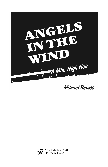

**Manuel Ramos** 

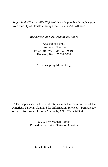*Angels in the Wind: A Mile High Noir* is made possible through a grant from the City of Houston through the Houston Arts Alliance.

*Recovering the past, creating the future*

Arte Público Press University of Houston 4902 Gulf Fwy, Bldg 19, Rm 100 Houston, Texas 77204-2004

Cover design by Mora Des!gn

 $\otimes$  The paper used in this publication meets the requirements of the American National Standard for Information Sciences—Permanence of Paper for Printed Library Materials, ANSI Z39.48-1984.

> © 2021 by Manuel Ramos Printed in the United States of America

21 22 23 24 4 3 2 1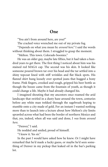## One

"You ain't from around here, are you?"

The cracked voice wrenched me out of my private fog.

"Depends on what you mean by *around here*." I said the words without thinking about them. I struggled to grasp the moment.

"Melton. This town. Colorado boonies."

He was an older guy, maybe late fifties, but it had taken a hundred years to get there. The first thing I noticed about him was his stained red MAGA cap. The second was his skin. It looked like someone poured brown tar over his head and the tar settled into a shiny topcoat lined with stiff wrinkles and flat black spots. His flannel shirt hung loosely over spotted jeans that hugged a bony frame. Pink fingers, crooked and rough, gripped his beer bottle as though the booze came from the fountain of youth, as though it could change a life. Maybe it had already changed his.

I imagined shouting that my ancestors once roamed the arid landscape that swirled in a dusty haze around the town, centuries before any white man trekked through the sagebrush hoping to stumble onto a city made of gold. For an instant I wanted nothing more than to launch into a lecture about how Melton's city limits sprawled across what had been the border of northern Mexico and that, yes, indeed, when all was said and done, I *was* from *around here*.

"Denver," I said.

He nodded and smiled, proud of himself.

"I knew it. Yes sir."

In the past I would have asked how he knew. Or I might have remarked that he'd made a lucky guess, or maybe he'd seen something of Denver in my pickup that leaked oil in the bar's parking lot.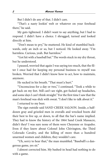But I didn't do any of that. I didn't care.

"That's a nasty lookin' welt or whatever on your forehead there," he said.

My guts tightened. I didn't want to say anything, but I had to respond. I didn't have a choice. I shrugged, turned and looked directly at him.

"Don't mean to pry," he muttered. He kind of stumbled backwards, only an inch or so, but I noticed. He looked away. "I'm harmless. Curious, yeah. But harmless."

"Got hit with a baseball bat."The words stuck in my dry throat, but he understood.

I paused, worried that again I was saying too much, that the filter I once had for keeping my personal business to myself was broken. Worried that I didn't know how to act, how to maintain, anymore.

He sucked in his breath. "That must'a hurt."

"Unconscious for a day or two," I continued. "Took a while to get back on my feet. Still can't see right, got fucked-up headaches, and some days I can't think straight." For the first time I saw that the man's forehead was slick with sweat. "I don't like to talk about it."

I returned to my beer.

The sign outside said SAND CREEK SALOON. Inside, a halfdozen gray and grizzled men in overalls and wrecked boots did their best to live up, or down, to all that the bar's name implied. They had to know the history of the 1864 Sand Creek Massacre, didn't they? I was sure none of them were Cheyenne or Arapaho. Even if they knew about Colonel John Chivington, the Third Colorado Cavalry, and the killing of more than a hundred unarmed women and children, they wouldn't care.

"Uh, sorry to hear that," the man mumbled. "Baseball's a dangerous game, yes sir."

I almost corrected him. My bashed-in head had nothing to do with a game.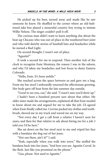He picked up his beer, turned away and made like he saw someone he knew. He shuffled to the corner where an old-fashioned juke box played a mournful country boy trying to imitate Willie Nelson. The singer couldn't pull it off.

The curious man didn't want to learn anything else about the beat-up Chicano who was out-of-place in the weathered beer joint and who told sketchy stories of baseball bats and headaches while he nursed a Bud Light.

On second thought, I wasn't out-of-place.

"Agustín?"

It took a second for me to respond. Then another tick of the clock to recognize Essie Montoya, the reason I was in the saloon, and why I'd taken my headaches and lost focus to dusty Eastern Colorado.

"Hello, Essie. It's been awhile."

She reached across the space between us and gave me a hug. From my bar stool I awkwardly returned the affectionate greeting. Her body gave off heat from the late summer day outside.

"Good to see you, cuz," she said. "I wasn't sure you'd show up."

I hadn't been a hundred percent sure about that either. My older sister made the arrangements, explained all that Essie needed to know about me and argued for me to take the job. I'd agreed when Essie finally called me. Corrine packed my clothes and toothbrush, shoved me in my truck and waved me on my way.

"Not every day I get a call from a relative I haven't seen for years, and then for that relative to ask about hiring me for a job. I told you I'd be here."

She sat down on the bar stool next to me and wiped her face with a bandana she dug out of her jeans.

"Hot out there, ain't it?" I said.

"Yeah, especially when you walk into town." She stuffed the bandana back into her jeans. "And here you are. Agustín Corral. In the flesh. Just like you promised on the phone."

"Gus, please. Not used to Agustín."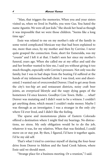"Man, that triggers the memories. When you and your sisters visited us, when we lived in Pueblo, you were Gus. You hated the name Agustín. We were all just kids." She shook her head as though it was impossible that we were those children. "Seems like a long time ago."

Essie was related to me on my mother's side of the family in some weird complicated Mexican way that had been explained to me, more than once, by my mother and then by Corrine. I never quite grasped the connection. Essie, short for Esmeralda, was my "cousin" and I left it at that. I hadn't seen her since my mother's funeral, years ago. When she called me at my office and said she and her brother wanted to hire me, I said yes without giving it too much thought, especially with Corrine's pressure. Not only was she family, but I was in bad shape from the beating I'd suffered at the hands of my infamous baseball client. I was tired, sore and disoriented. I wanted out of overcrowded Denver. I had to get away from the city's too-hip art and restaurant districts, noisy craft beer joints, an overpriced lifestyle and the raspy dying gasps of the hometown I'd once known. Goodbye Cow Town. Hello . . . what? Denver was mutating and I didn't want to be a witness. I couldn't get anything done, which meant I couldn't make money. Maybe I was through as an investigator. I was a stranger in the only city where I'd ever lived, and I didn't like the feeling.

The sparse and monotonous plains of Eastern Colorado offered a destination where I might find my bearings. No distractions, no stress. My only obligation would be to do the job, whatever it was, for my relatives. When that was finished, I could move on or stay put. By then, I figured, I'd have it together again. I'd be my old self.

That's what I tried to convince myself of during the four-hour drive from Denver to Melton and the Sand Creek Saloon, where Essie said we should meet.

"Strange place for a business meeting. Or a reunion," I said.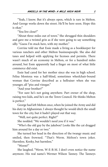"Yeah, I know. But it's always open, which is rare in Melton. And George works down the street. He'll be here soon. Hope this is okay."

"You live close?"

"About three miles out of town." She shrugged thin shoulders and gave me a twisted grin as if she were going to say something silly. "Guess I'm stuck here, with my mother."

Corrine told me that Essie made a living as a bookkeeper for various ranchers and other Melton businesspeople. She also did taxes and helped with applying for licenses and permits. There wasn't much of an economy in Melton, or for a hundred miles around, but Essie apparently had a finger on most of what little commerce did exist.

Essie had cared for her mother since she was in high school. Felisa Montoya was a half-blind, sometimes wheelchair-bound woman that Corrine described as a hellraiser when she was younger, all "piss and vinegar."

"And your brother?"

"For sure he's not going anywhere. Part owner of the shop, raising two kids, and he's on the Town Council. He thinks Melton is perfect."

George had left Melton once, when he joined the Army and did his duty in Afghanistan. I always thought he would ditch the small town for the city, but it hadn't played out that way.

"Well, not quite perfect. Right?"

She nodded. "We wouldn't need you if it was."

"Who's the old guy by the jukebox? Looks like the cat dragged him around for a day or two."

She turned her head in the direction of the twangy music and smiled, then frowned. "That's Werm. Melton's town joker. Harmless. Kooky, but harmless."

"Worm?"

She laughed. "Werm. W-E-R-M. I don't even notice the name anymore. His real name's Wermer Wilson Tanney. The Tanneys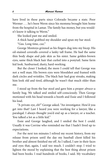have lived in these parts since Colorado became a state. Poor Wermer . . . he's been Werm since his momma brought him home from the hospital in Lamar. The family has money, but you wouldn't know it talking to Werm."

She looked past me and smiled.

A thick hand grabbed my shoulder and spun my bar stool.

"Gus. Long time, cuz."

George Montoya grinned as his fingers dug into my bicep. His oil-stained coveralls covered a lanky tall frame. He had the same thin body shape and pale skin as his sister. Same golden-brown eyes, same thick black hair that curled into a ponytail. Same farm kid look. Sunburned, dusty, hard-working.

But the closer I looked, the more I could tell that George was not a well man. His brown eyes were bloodshot and framed with dark circles and wrinkles. The black hair had gray streaks, making him look old and tired, although he wasn't that much older than me.

I stood up from the bar stool and gave him a proper *abrazo*–a family hug. We talked and smiled self-consciously. Then George motioned with his head towards a booth and Essie and I followed his lead.

"A private eye, eh?" George asked. "An investigator. How'd you get into that? Last I heard you were working for a lawyer, like a paralegal. I always thought you'd end up as a lawyer, or a teacher. You talked a lot as a little kid."

Essie and George laughed, and I smiled the best I could. Usually it was Corrine who reminded me that I hadn't lived up to expectations.

For the next ten minutes I relived my recent history, from my release from prison until the day my baseball client killed his brother and almost finished me off. As I talked, I saw in their faces and eyes that, again, I said too much. I couldn't stop. I tried to lighten the mood by explaining that the best thing about prison had been books. I read hundreds of books, I said. My vocabulary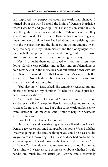had improved, my perspective about the world had changed. I learned about the world beyond the limits of Denver's Northside, where I was born and grew up. Hell, I made prison sound like the best thing short of a college education. When I saw that they weren't impressed, I let my story roll out without considering what impact my words might have. I talked about the ice-fishing caper with the Mexican cop and the shoot-out in the mountains. I went deep, too deep, into my Cuban disaster and the bloody night when the baseball star pounded justice and revenge into his disloyal brother and whacked me dizzy just for being in the way.

Next, I brought them up to speed on how my sisters were doing. Corrine was political and radical and troublemaking as ever, Maxine still in the music business but settled down with her wife, Sandra. I assured them that Corrine and Max were in better shape than I. Not a high bar, but it was something. I realized too late that they didn't want to hear that.

"You okay now?" Essie asked. She tentatively reached out and placed her hand on my shoulder. "Maybe you should just kick back. Take a vacation."

"Tell you the truth," I answered, "I'm not a hundred percent. Maybe seventy-five. I take painkillers for headaches and something stronger for my mental state. But doing some work out here, away from Denver, it'll do me good. And I want to help with whatever you're dealing with."

Essie looked at George. He nodded.

"Actually," she said."Corrine suggested we talk with you.I was in Denver a few weeks ago and I stopped by her house.When I told her what was going on, she said she thought you could help us. She did say you were still recovering, but she also said she had no doubt that you were up to it. I talked it over with George. And here we are."

When Corrine said she'd volunteered me for a job, I protested for a minute. I wasn't as sure as my sister about whether I could handle life, much less an actual job. Corrine and I eventually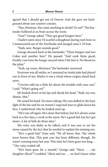agreed that I should get out of Denver. And she gave me background about our country cousins.

"Hey, Montoya. You want anything to drink? Or eat?" The bartender hollered at us from across the room.

"Gus?" George asked. "They got good burgers here."

I hadn't eaten since I'd scarfed a doughnut during rush hour as I maneuvered out of the Northside and merged onto I-70 East.

"Yeah, sure. Burger sounds good."

George shouted back at the bartender. "Three burgers and two Cokes and another beer." He paused. "And cook them good, Freddy. Last time the burger mooed when I bit into it. No blood on the plate."

"Yeah, up yours, Montoya," the bartender answered.

Everyone was all smiles, so I assumed an inside joke had played out in front of me. Maybe it was a ritual whose origins dated back years.

"Corrine told me a little bit about the trouble with your son," I said. "What's going on?"

He looked down at his lap and shook his head. "Yeah, my son, Matías. Mat."

He raised his head. No more joking. His eyes dulled in the hazy light of the bar and for an instant I expected tears to glide down his face. I understood why he looked used up.

"He's run off again. He's done that before, but he's always come back in a few days, a week at the most. He's a good kid, but he's got issues. A lot of kids do these days."

His voice was shaky as he talked, and it was easy to see the stress caused by the fact that he needed to explain his missing son.

"He's a good kid," Essie said. "We all know that. The whole town knows that. This past year has been different, though. He wasn't running away last year. This time he's been gone too long… " Her voice trailed off.

"He's been gone for a month," George said. "Alicia . . . my daughter Alicia?" I nodded. "Alicia and me . . . we don't know what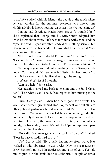to do. We've talked with his friends, the people at the ranch where he was working for the summer, everyone who knows him. Nothing. Nobody knows nothing. Or at least, they're not telling us."

Corrine had described Matías Montoya as "a troubled boy." She'd explained that George and his wife, Cindy, adopted him when he was about three. "He's been in trouble with school and the cops," she said. "Especially after Cindy died. Nothing serious, but George must've had his hands full. I wouldn't be surprised if Mat's gone for good this time."

"If he's on the road, I doubt I'll find him," I said to Corrine. "He could be in Mexico by now. Teen-aged runaways usually aren't found unless they want to be found. And I'll be getting a late start."

"But maybe you can find out something to give George a little hope," Corrine said. "Or some relief. Essie said her brother's a mess. If he knows the kid is alive, that might be enough."

*And what if he's dead?* I thought.

"Can you help?" Essie asked.

Her question jerked me back to Melton and the Sand Creek Bar. "I'll do what I can," I said. "You reported him missing to the police?"

"Sure," George said. "When he'd been gone for a week. The local Chief here, a guy named Rob López, sent out bulletins to other police departments, talked to some of Mat's friends, stuff like that. I guess Mat is in a national database of missing kids. But López can only do so much. He's the one real cop we have, and he's part time. His help, the guys he calls deputies, are volunteers. Freddy, the bartender, is one. It's not like López set up search parties or anything like that."

"How did Mat manage when he took off before?" I asked. "Does he have a credit card or . . . ?"

"No," George said. "He usually has money from work. He's worked at odd jobs since he was twelve. Now he's a regular on Leroy Bannon's ranch. Mat carries around a lot of cash. I've told him to put it in the bank, but he's stubborn. A couple of times,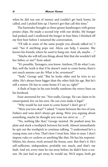when he did run out of money and couldn't get back home, he called, and I picked him up. I haven't got that call this time."

The bartender brought us three greasy hamburgers with greasy potato chips. He made a second trip with our drinks. My hunger had peaked, and I swallowed the burger in four bites. I finished off my first beer before I restarted the conversation.

"I'll talk to some of the same people you already talked to," I said. "See if anything pops out. Alicia can help, I assume. She knows his friends, where he used to hang out. And, uh, maybe . . ."

"Maybe she will tell you things about Mat that she wouldn't tell her father, or me?" Essie asked.

"It's possible. Teenagers, you know. Anyhow, I'll do what I can. But, well the truth is that if he doesn't want to come home, there's not much anyone can do. What is he, seventeen?"

"Yeah," George said. "But he looks older and he tries to act older. He's always been bigger than the other kids his age. But he's still a minor. He has to come home if I say so, right?"

A flash of hope in his eyes briefly outshone the worry lines on his forehead.

Essie answered for me. "Not really, George. He can claim to be emancipated, live on his own. He can even make it legal."

"Why would he not want to come home? I don't get it."

"Were you two okay?" I asked. "I mean between the two of you. Fathers and sons don't always get along. Were you arguing about something, maybe he thought you were too strict or . . .?"

"No, nothing like that," George insisted. He pushed away his plate and stuck a toothpick between his teeth. Almost immediately he spit out the toothpick to continue talking. "I understand he's a young man, not a boy. That's how I treat him. Man to man. I don't impose rules or curfews or anything like that. He has his responsibilities, his chores, work around the house, sure. But that's it. He's self-sufficient, independent, probably too much, and that's my fault. And yet, every time he ran away before, he didn't have a reason. He just had to get away, he would say. We'd argue, both get